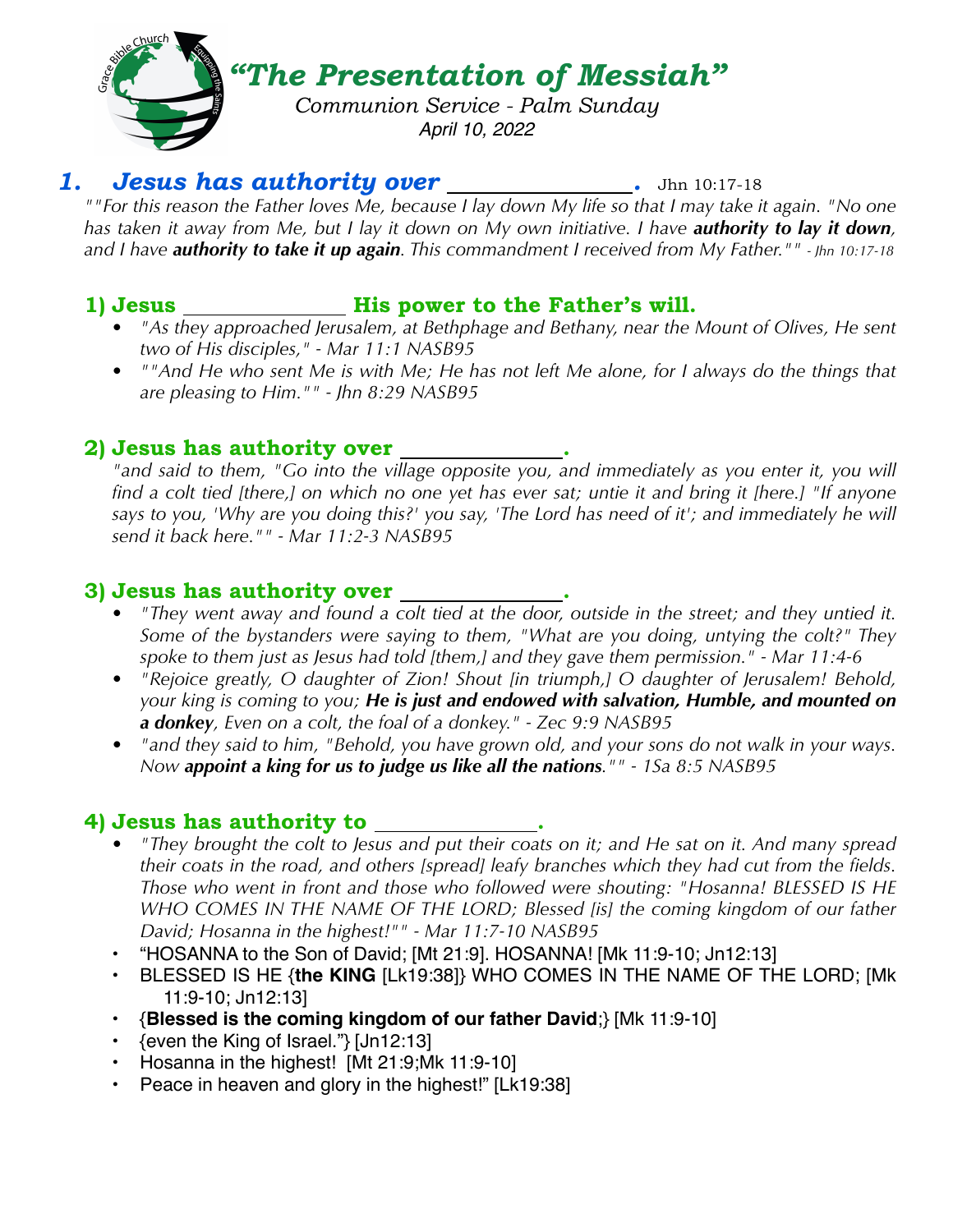

# 1. **Jesus has authority over \_\_\_\_\_\_\_\_\_\_\_\_\_.** Jhn 10:17-18

*""For this reason the Father loves Me, because I lay down My life so that I may take it again. "No one has taken it away from Me, but I lay it down on My own initiative. I have authority to lay it down, and I have authority to take it up again. This commandment I received from My Father."" - Jhn 10:17-18*

### **1) Jesus His power to the Father's will.**

- *• "As they approached Jerusalem, at Bethphage and Bethany, near the Mount of Olives, He sent two of His disciples," - Mar 11:1 NASB95*
- *• ""And He who sent Me is with Me; He has not left Me alone, for I always do the things that are pleasing to Him."" - Jhn 8:29 NASB95*

# **2) Jesus has authority over .**

*"and said to them, "Go into the village opposite you, and immediately as you enter it, you will find a colt tied [there,] on which no one yet has ever sat; untie it and bring it [here.] "If anyone says to you, 'Why are you doing this?' you say, 'The Lord has need of it'; and immediately he will send it back here."" - Mar 11:2-3 NASB95*

# **3) Jesus has authority over .**

- *• "They went away and found a colt tied at the door, outside in the street; and they untied it. Some of the bystanders were saying to them, "What are you doing, untying the colt?" They spoke to them just as Jesus had told [them,] and they gave them permission." - Mar 11:4-6*
- *• "Rejoice greatly, O daughter of Zion! Shout [in triumph,] O daughter of Jerusalem! Behold, your king is coming to you; He is just and endowed with salvation, Humble, and mounted on a donkey, Even on a colt, the foal of a donkey." - Zec 9:9 NASB95*
- *• "and they said to him, "Behold, you have grown old, and your sons do not walk in your ways. Now appoint a king for us to judge us like all the nations."" - 1Sa 8:5 NASB95*

# **4) Jesus has authority to .**

- *• "They brought the colt to Jesus and put their coats on it; and He sat on it. And many spread their coats in the road, and others [spread] leafy branches which they had cut from the fields. Those who went in front and those who followed were shouting: "Hosanna! BLESSED IS HE WHO COMES IN THE NAME OF THE LORD; Blessed [is] the coming kingdom of our father David; Hosanna in the highest!"" - Mar 11:7-10 NASB95*
- "HOSANNA to the Son of David; [Mt 21:9]. HOSANNA! [Mk 11:9-10; Jn12:13]
- BLESSED IS HE {**the KING** [Lk19:38]} WHO COMES IN THE NAME OF THE LORD; [Mk 11:9-10; Jn12:13]
- {**Blessed is the coming kingdom of our father David**;} [Mk 11:9-10]
- {even the King of Israel."} [Jn12:13]
- Hosanna in the highest! [Mt 21:9;Mk 11:9-10]
- Peace in heaven and glory in the highest!" [Lk19:38]